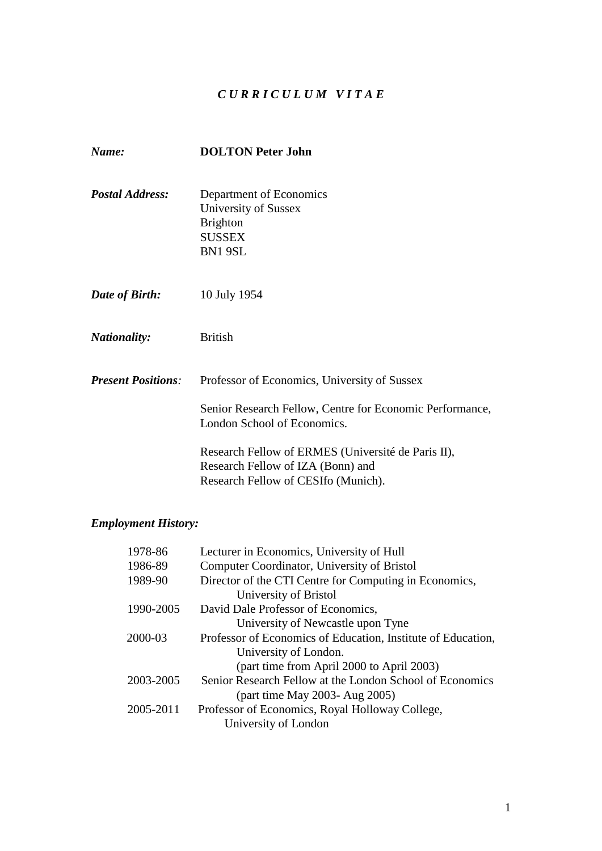# *C U R R I C U L U M V I T A E*

| Name:                     | <b>DOLTON Peter John</b>                                                                                                       |
|---------------------------|--------------------------------------------------------------------------------------------------------------------------------|
| <b>Postal Address:</b>    | Department of Economics<br>University of Sussex<br><b>Brighton</b><br><b>SUSSEX</b><br>BN1 9SL                                 |
| Date of Birth:            | 10 July 1954                                                                                                                   |
| <i>Nationality:</i>       | <b>British</b>                                                                                                                 |
| <b>Present Positions:</b> | Professor of Economics, University of Sussex                                                                                   |
|                           | Senior Research Fellow, Centre for Economic Performance,<br>London School of Economics.                                        |
|                           | Research Fellow of ERMES (Université de Paris II),<br>Research Fellow of IZA (Bonn) and<br>Research Fellow of CESIfo (Munich). |

# *Employment History:*

| 1978-86   | Lecturer in Economics, University of Hull                    |
|-----------|--------------------------------------------------------------|
| 1986-89   | Computer Coordinator, University of Bristol                  |
| 1989-90   | Director of the CTI Centre for Computing in Economics,       |
|           | University of Bristol                                        |
| 1990-2005 | David Dale Professor of Economics,                           |
|           | University of Newcastle upon Tyne                            |
| 2000-03   | Professor of Economics of Education, Institute of Education, |
|           | University of London.                                        |
|           | (part time from April 2000 to April 2003)                    |
| 2003-2005 | Senior Research Fellow at the London School of Economics     |
|           | (part time May 2003- Aug 2005)                               |
| 2005-2011 | Professor of Economics, Royal Holloway College,              |
|           | University of London                                         |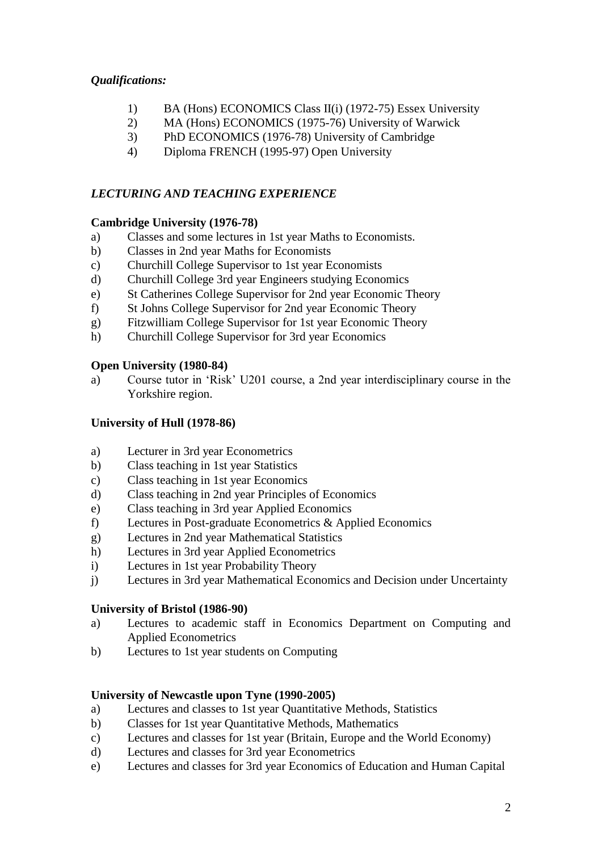# *Qualifications:*

- 1) BA (Hons) ECONOMICS Class II(i) (1972-75) Essex University
- 2) MA (Hons) ECONOMICS (1975-76) University of Warwick
- 3) PhD ECONOMICS (1976-78) University of Cambridge
- 4) Diploma FRENCH (1995-97) Open University

### *LECTURING AND TEACHING EXPERIENCE*

#### **Cambridge University (1976-78)**

- a) Classes and some lectures in 1st year Maths to Economists.
- b) Classes in 2nd year Maths for Economists
- c) Churchill College Supervisor to 1st year Economists
- d) Churchill College 3rd year Engineers studying Economics
- e) St Catherines College Supervisor for 2nd year Economic Theory
- f) St Johns College Supervisor for 2nd year Economic Theory
- g) Fitzwilliam College Supervisor for 1st year Economic Theory
- h) Churchill College Supervisor for 3rd year Economics

### **Open University (1980-84)**

a) Course tutor in 'Risk' U201 course, a 2nd year interdisciplinary course in the Yorkshire region.

### **University of Hull (1978-86)**

- a) Lecturer in 3rd year Econometrics
- b) Class teaching in 1st year Statistics
- c) Class teaching in 1st year Economics
- d) Class teaching in 2nd year Principles of Economics
- e) Class teaching in 3rd year Applied Economics
- f) Lectures in Post-graduate Econometrics & Applied Economics
- g) Lectures in 2nd year Mathematical Statistics
- h) Lectures in 3rd year Applied Econometrics
- i) Lectures in 1st year Probability Theory
- j) Lectures in 3rd year Mathematical Economics and Decision under Uncertainty

#### **University of Bristol (1986-90)**

- a) Lectures to academic staff in Economics Department on Computing and Applied Econometrics
- b) Lectures to 1st year students on Computing

#### **University of Newcastle upon Tyne (1990-2005)**

- a) Lectures and classes to 1st year Quantitative Methods, Statistics
- b) Classes for 1st year Quantitative Methods, Mathematics
- c) Lectures and classes for 1st year (Britain, Europe and the World Economy)
- d) Lectures and classes for 3rd year Econometrics
- e) Lectures and classes for 3rd year Economics of Education and Human Capital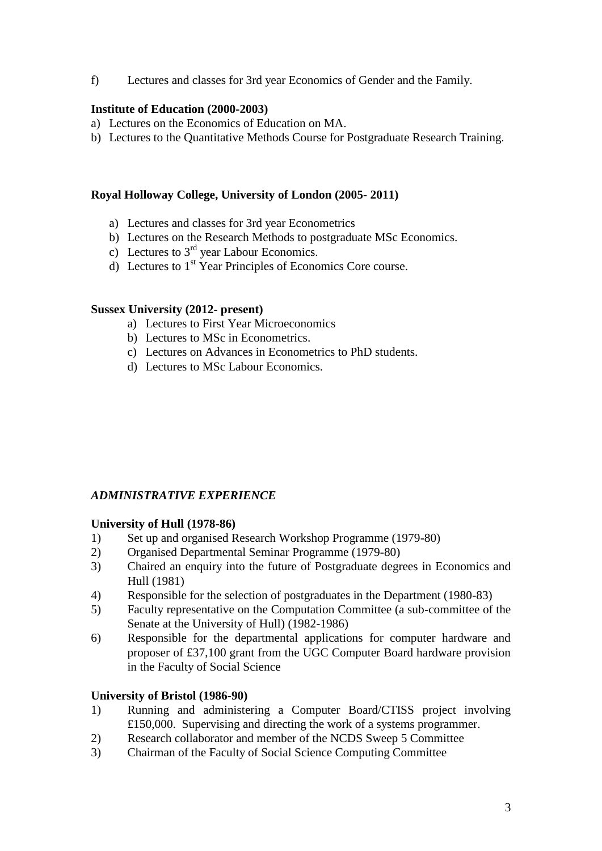f) Lectures and classes for 3rd year Economics of Gender and the Family.

### **Institute of Education (2000-2003)**

- a) Lectures on the Economics of Education on MA.
- b) Lectures to the Quantitative Methods Course for Postgraduate Research Training.

### **Royal Holloway College, University of London (2005- 2011)**

- a) Lectures and classes for 3rd year Econometrics
- b) Lectures on the Research Methods to postgraduate MSc Economics.
- c) Lectures to  $3<sup>rd</sup>$  year Labour Economics.
- d) Lectures to  $1<sup>st</sup>$  Year Principles of Economics Core course.

#### **Sussex University (2012- present)**

- a) Lectures to First Year Microeconomics
- b) Lectures to MSc in Econometrics.
- c) Lectures on Advances in Econometrics to PhD students.
- d) Lectures to MSc Labour Economics.

### *ADMINISTRATIVE EXPERIENCE*

### **University of Hull (1978-86)**

- 1) Set up and organised Research Workshop Programme (1979-80)
- 2) Organised Departmental Seminar Programme (1979-80)
- 3) Chaired an enquiry into the future of Postgraduate degrees in Economics and Hull (1981)
- 4) Responsible for the selection of postgraduates in the Department (1980-83)
- 5) Faculty representative on the Computation Committee (a sub-committee of the Senate at the University of Hull) (1982-1986)
- 6) Responsible for the departmental applications for computer hardware and proposer of £37,100 grant from the UGC Computer Board hardware provision in the Faculty of Social Science

### **University of Bristol (1986-90)**

- 1) Running and administering a Computer Board/CTISS project involving £150,000. Supervising and directing the work of a systems programmer.
- 2) Research collaborator and member of the NCDS Sweep 5 Committee
- 3) Chairman of the Faculty of Social Science Computing Committee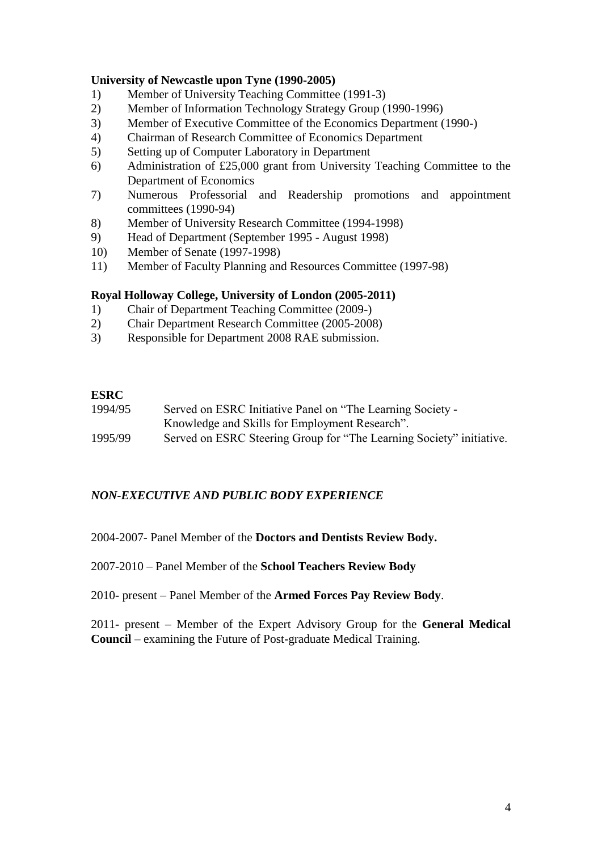### **University of Newcastle upon Tyne (1990-2005)**

- 1) Member of University Teaching Committee (1991-3)
- 2) Member of Information Technology Strategy Group (1990-1996)
- 3) Member of Executive Committee of the Economics Department (1990-)
- 4) Chairman of Research Committee of Economics Department
- 5) Setting up of Computer Laboratory in Department
- 6) Administration of £25,000 grant from University Teaching Committee to the Department of Economics
- 7) Numerous Professorial and Readership promotions and appointment committees (1990-94)
- 8) Member of University Research Committee (1994-1998)
- 9) Head of Department (September 1995 August 1998)
- 10) Member of Senate (1997-1998)
- 11) Member of Faculty Planning and Resources Committee (1997-98)

### **Royal Holloway College, University of London (2005-2011)**

- 1) Chair of Department Teaching Committee (2009-)
- 2) Chair Department Research Committee (2005-2008)
- 3) Responsible for Department 2008 RAE submission.

### **ESRC**

1994/95 Served on ESRC Initiative Panel on "The Learning Society - Knowledge and Skills for Employment Research". 1995/99 Served on ESRC Steering Group for "The Learning Society" initiative.

### *NON-EXECUTIVE AND PUBLIC BODY EXPERIENCE*

2004-2007- Panel Member of the **Doctors and Dentists Review Body.**

2007-2010 – Panel Member of the **School Teachers Review Body**

2010- present – Panel Member of the **Armed Forces Pay Review Body**.

2011- present – Member of the Expert Advisory Group for the **General Medical Council** – examining the Future of Post-graduate Medical Training.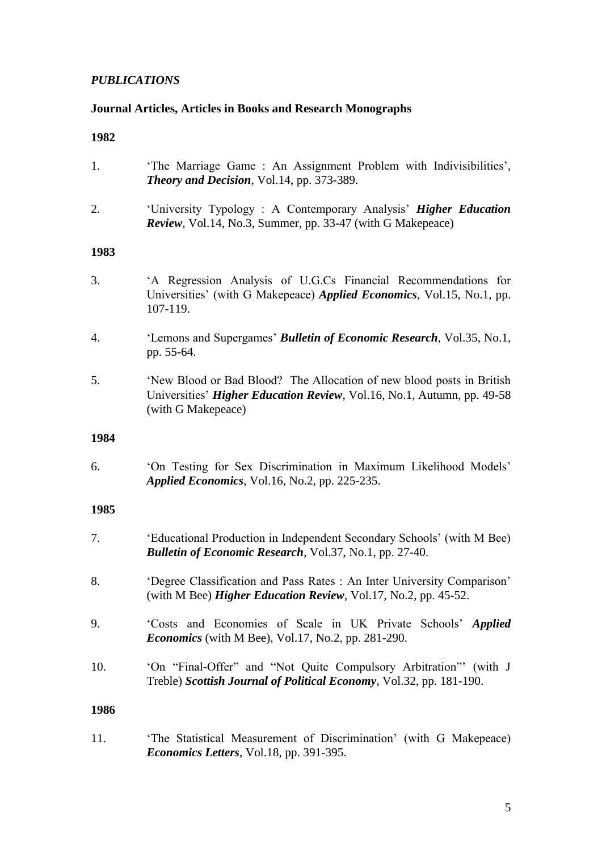# *PUBLICATIONS*

### **Journal Articles, Articles in Books and Research Monographs**

### **1982**

- 1. 'The Marriage Game : An Assignment Problem with Indivisibilities', *Theory and Decision*, Vol.14, pp. 373-389.
- 2. 'University Typology : A Contemporary Analysis' *Higher Education Review*, Vol.14, No.3, Summer, pp. 33-47 (with G Makepeace)

#### **1983**

- 3. 'A Regression Analysis of U.G.Cs Financial Recommendations for Universities' (with G Makepeace) *Applied Economics*, Vol.15, No.1, pp. 107-119.
- 4. 'Lemons and Supergames' *Bulletin of Economic Research*, Vol.35, No.1, pp. 55-64.
- 5. 'New Blood or Bad Blood? The Allocation of new blood posts in British Universities' *Higher Education Review*, Vol.16, No.1, Autumn, pp. 49-58 (with G Makepeace)

#### **1984**

6. 'On Testing for Sex Discrimination in Maximum Likelihood Models' *Applied Economics*, Vol.16, No.2, pp. 225-235.

#### **1985**

- 7. 'Educational Production in Independent Secondary Schools' (with M Bee) *Bulletin of Economic Research*, Vol.37, No.1, pp. 27-40.
- 8. 'Degree Classification and Pass Rates : An Inter University Comparison' (with M Bee) *Higher Education Review*, Vol.17, No.2, pp. 45-52.
- 9. 'Costs and Economies of Scale in UK Private Schools' *Applied Economics* (with M Bee), Vol.17, No.2, pp. 281-290.
- 10. 'On "Final-Offer" and "Not Quite Compulsory Arbitration"' (with J Treble) *Scottish Journal of Political Economy*, Vol.32, pp. 181-190.

#### **1986**

11. 'The Statistical Measurement of Discrimination' (with G Makepeace) *Economics Letters*, Vol.18, pp. 391-395.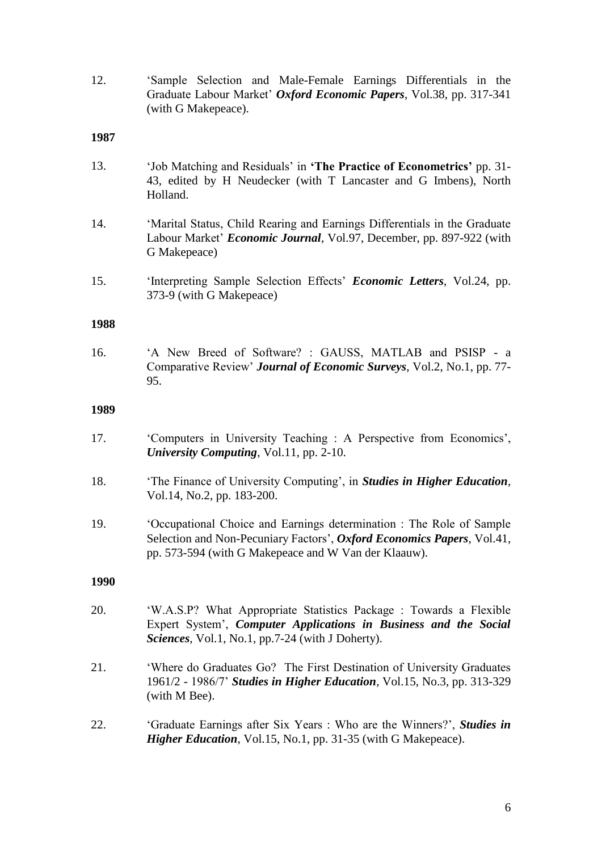12. 'Sample Selection and Male-Female Earnings Differentials in the Graduate Labour Market' *Oxford Economic Papers*, Vol.38, pp. 317-341 (with G Makepeace).

#### **1987**

- 13. 'Job Matching and Residuals' in **'The Practice of Econometrics'** pp. 31- 43, edited by H Neudecker (with T Lancaster and G Imbens), North Holland.
- 14. 'Marital Status, Child Rearing and Earnings Differentials in the Graduate Labour Market' *Economic Journal*, Vol.97, December, pp. 897-922 (with G Makepeace)
- 15. 'Interpreting Sample Selection Effects' *Economic Letters*, Vol.24, pp. 373-9 (with G Makepeace)

#### **1988**

16. 'A New Breed of Software? : GAUSS, MATLAB and PSISP - a Comparative Review' *Journal of Economic Surveys*, Vol.2, No.1, pp. 77- 95.

#### **1989**

- 17. 'Computers in University Teaching : A Perspective from Economics', *University Computing*, Vol.11, pp. 2-10.
- 18. 'The Finance of University Computing', in *Studies in Higher Education*, Vol.14, No.2, pp. 183-200.
- 19. 'Occupational Choice and Earnings determination : The Role of Sample Selection and Non-Pecuniary Factors', *Oxford Economics Papers*, Vol.41, pp. 573-594 (with G Makepeace and W Van der Klaauw).

- 20. 'W.A.S.P? What Appropriate Statistics Package : Towards a Flexible Expert System', *Computer Applications in Business and the Social Sciences*, Vol.1, No.1, pp.7-24 (with J Doherty).
- 21. 'Where do Graduates Go? The First Destination of University Graduates 1961/2 - 1986/7' *Studies in Higher Education*, Vol.15, No.3, pp. 313-329 (with M Bee).
- 22. 'Graduate Earnings after Six Years : Who are the Winners?', *Studies in Higher Education, Vol.15, No.1, pp. 31-35 (with G Makepeace).*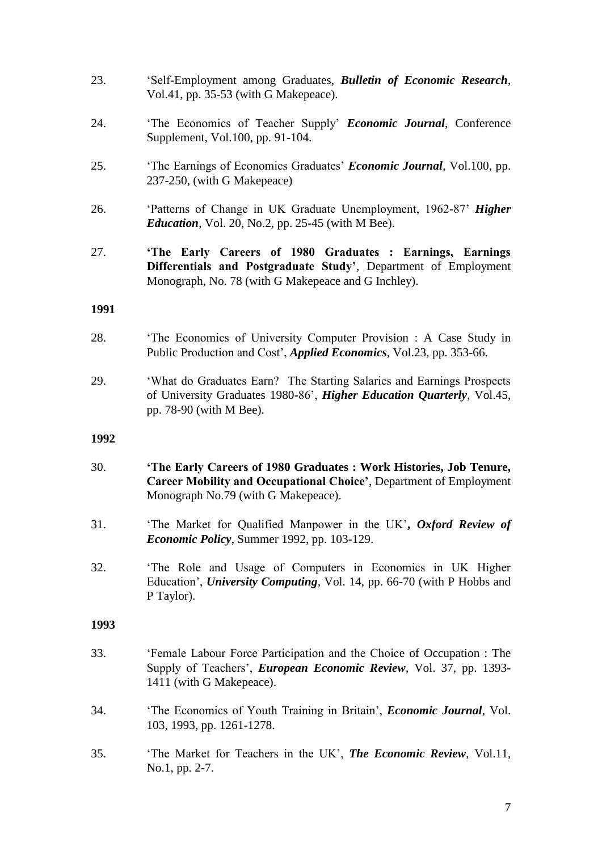- 23. 'Self-Employment among Graduates, *Bulletin of Economic Research*, Vol.41, pp. 35-53 (with G Makepeace).
- 24. 'The Economics of Teacher Supply' *Economic Journal*, Conference Supplement, Vol.100, pp. 91-104.
- 25. 'The Earnings of Economics Graduates' *Economic Journal*, Vol.100, pp. 237-250, (with G Makepeace)
- 26. 'Patterns of Change in UK Graduate Unemployment, 1962-87' *Higher Education*, Vol. 20, No.2, pp. 25-45 (with M Bee).
- 27. **'The Early Careers of 1980 Graduates : Earnings, Earnings Differentials and Postgraduate Study'**, Department of Employment Monograph, No. 78 (with G Makepeace and G Inchley).

#### **1991**

- 28. 'The Economics of University Computer Provision : A Case Study in Public Production and Cost', *Applied Economics*, Vol.23, pp. 353-66.
- 29. 'What do Graduates Earn? The Starting Salaries and Earnings Prospects of University Graduates 1980-86', *Higher Education Quarterly*, Vol.45, pp. 78-90 (with M Bee).

#### **1992**

- 30. **'The Early Careers of 1980 Graduates : Work Histories, Job Tenure, Career Mobility and Occupational Choice'**, Department of Employment Monograph No.79 (with G Makepeace).
- 31. 'The Market for Qualified Manpower in the UK'**,** *Oxford Review of Economic Policy*, Summer 1992, pp. 103-129.
- 32. 'The Role and Usage of Computers in Economics in UK Higher Education', *University Computing*, Vol. 14, pp. 66-70 (with P Hobbs and P Taylor).

- 33. 'Female Labour Force Participation and the Choice of Occupation : The Supply of Teachers', *European Economic Review*, Vol. 37, pp. 1393- 1411 (with G Makepeace).
- 34. 'The Economics of Youth Training in Britain', *Economic Journal*, Vol. 103, 1993, pp. 1261-1278.
- 35. 'The Market for Teachers in the UK', *The Economic Review*, Vol.11, No.1, pp. 2-7.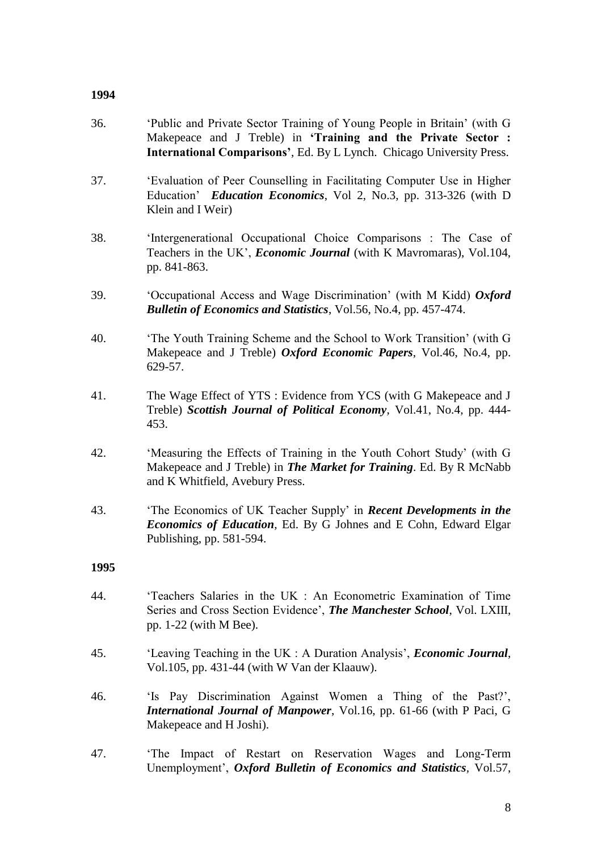#### **1994**

- 36. 'Public and Private Sector Training of Young People in Britain' (with G Makepeace and J Treble) in **'Training and the Private Sector : International Comparisons'**, Ed. By L Lynch. Chicago University Press.
- 37. 'Evaluation of Peer Counselling in Facilitating Computer Use in Higher Education' *Education Economics*, Vol 2, No.3, pp. 313-326 (with D Klein and I Weir)
- 38. 'Intergenerational Occupational Choice Comparisons : The Case of Teachers in the UK', *Economic Journal* (with K Mavromaras), Vol.104, pp. 841-863.
- 39. 'Occupational Access and Wage Discrimination' (with M Kidd) *Oxford Bulletin of Economics and Statistics*, Vol.56, No.4, pp. 457-474.
- 40. 'The Youth Training Scheme and the School to Work Transition' (with G Makepeace and J Treble) *Oxford Economic Papers*, Vol.46, No.4, pp. 629-57.
- 41. The Wage Effect of YTS : Evidence from YCS (with G Makepeace and J Treble) *Scottish Journal of Political Economy*, Vol.41, No.4, pp. 444- 453.
- 42. 'Measuring the Effects of Training in the Youth Cohort Study' (with G Makepeace and J Treble) in *The Market for Training*. Ed. By R McNabb and K Whitfield, Avebury Press.
- 43. 'The Economics of UK Teacher Supply' in *Recent Developments in the Economics of Education*, Ed. By G Johnes and E Cohn, Edward Elgar Publishing, pp. 581-594.

- 44. 'Teachers Salaries in the UK : An Econometric Examination of Time Series and Cross Section Evidence', *The Manchester School*, Vol. LXIII, pp. 1-22 (with M Bee).
- 45. 'Leaving Teaching in the UK : A Duration Analysis', *Economic Journal*, Vol.105, pp. 431-44 (with W Van der Klaauw).
- 46. 'Is Pay Discrimination Against Women a Thing of the Past?', *International Journal of Manpower*, Vol.16, pp. 61-66 (with P Paci, G Makepeace and H Joshi).
- 47. 'The Impact of Restart on Reservation Wages and Long-Term Unemployment', *Oxford Bulletin of Economics and Statistics,* Vol.57,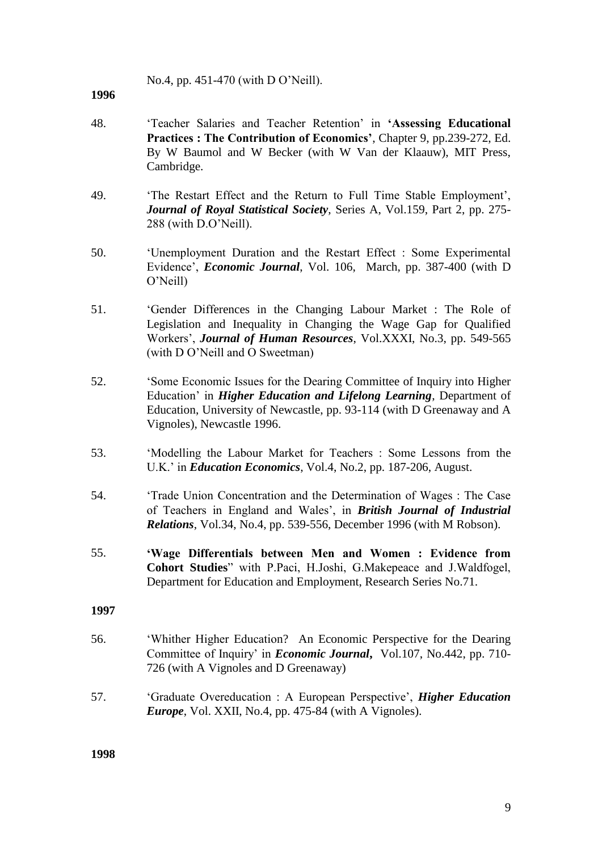No.4, pp. 451-470 (with D O'Neill).

#### **1996**

- 48. 'Teacher Salaries and Teacher Retention' in **'Assessing Educational Practices : The Contribution of Economics'**, Chapter 9, pp.239-272, Ed. By W Baumol and W Becker (with W Van der Klaauw), MIT Press, Cambridge.
- 49. 'The Restart Effect and the Return to Full Time Stable Employment', *Journal of Royal Statistical Society*, Series A, Vol.159, Part 2, pp. 275- 288 (with D.O'Neill).
- 50. 'Unemployment Duration and the Restart Effect : Some Experimental Evidence', *Economic Journal*, Vol. 106, March, pp. 387-400 (with D O'Neill)
- 51. 'Gender Differences in the Changing Labour Market : The Role of Legislation and Inequality in Changing the Wage Gap for Qualified Workers', *Journal of Human Resources*, Vol.XXXI, No.3, pp. 549-565 (with D O'Neill and O Sweetman)
- 52. 'Some Economic Issues for the Dearing Committee of Inquiry into Higher Education' in *Higher Education and Lifelong Learning*, Department of Education, University of Newcastle, pp. 93-114 (with D Greenaway and A Vignoles), Newcastle 1996.
- 53. 'Modelling the Labour Market for Teachers : Some Lessons from the U.K.' in *Education Economics*, Vol.4, No.2, pp. 187-206, August.
- 54. 'Trade Union Concentration and the Determination of Wages : The Case of Teachers in England and Wales', in *British Journal of Industrial Relations*, Vol.34, No.4, pp. 539-556, December 1996 (with M Robson).
- 55. **'Wage Differentials between Men and Women : Evidence from Cohort Studies**" with P.Paci, H.Joshi, G.Makepeace and J.Waldfogel, Department for Education and Employment, Research Series No.71.

#### **1997**

- 56. 'Whither Higher Education? An Economic Perspective for the Dearing Committee of Inquiry' in *Economic Journal***,** Vol.107, No.442, pp. 710- 726 (with A Vignoles and D Greenaway)
- 57. 'Graduate Overeducation : A European Perspective', *Higher Education Europe*, Vol. XXII, No.4, pp. 475-84 (with A Vignoles).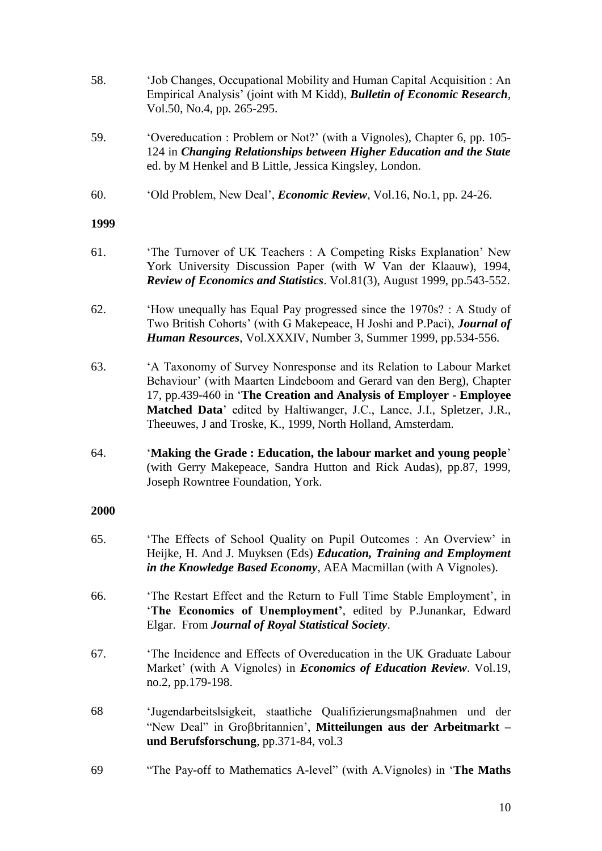- 58. 'Job Changes, Occupational Mobility and Human Capital Acquisition : An Empirical Analysis' (joint with M Kidd), *Bulletin of Economic Research*, Vol.50, No.4, pp. 265-295.
- 59. 'Overeducation : Problem or Not?' (with a Vignoles), Chapter 6, pp. 105- 124 in *Changing Relationships between Higher Education and the State* ed. by M Henkel and B Little, Jessica Kingsley, London.
- 60. 'Old Problem, New Deal', *Economic Review*, Vol.16, No.1, pp. 24-26.

#### **1999**

- 61. 'The Turnover of UK Teachers : A Competing Risks Explanation' New York University Discussion Paper (with W Van der Klaauw), 1994, *Review of Economics and Statistics*. Vol.81(3), August 1999, pp.543-552.
- 62. 'How unequally has Equal Pay progressed since the 1970s? : A Study of Two British Cohorts' (with G Makepeace, H Joshi and P.Paci), *Journal of Human Resources*, Vol.XXXIV, Number 3, Summer 1999, pp.534-556.
- 63. 'A Taxonomy of Survey Nonresponse and its Relation to Labour Market Behaviour' (with Maarten Lindeboom and Gerard van den Berg), Chapter 17, pp.439-460 in '**The Creation and Analysis of Employer - Employee Matched Data**' edited by Haltiwanger, J.C., Lance, J.I., Spletzer, J.R., Theeuwes, J and Troske, K., 1999, North Holland, Amsterdam.
- 64. '**Making the Grade : Education, the labour market and young people**' (with Gerry Makepeace, Sandra Hutton and Rick Audas), pp.87, 1999, Joseph Rowntree Foundation, York.

- 65. 'The Effects of School Quality on Pupil Outcomes : An Overview' in Heijke, H. And J. Muyksen (Eds) *Education, Training and Employment in the Knowledge Based Economy*, AEA Macmillan (with A Vignoles).
- 66. 'The Restart Effect and the Return to Full Time Stable Employment', in '**The Economics of Unemployment'**, edited by P.Junankar, Edward Elgar. From *Journal of Royal Statistical Society*.
- 67. 'The Incidence and Effects of Overeducation in the UK Graduate Labour Market' (with A Vignoles) in *Economics of Education Review*. Vol.19, no.2, pp.179-198.
- 68 'Jugendarbeitslsigkeit, staatliche Qualifizierungsmaßnahmen und der "New Deal" in Grobritannien', **Mitteilungen aus der Arbeitmarkt – und Berufsforschung**, pp.371-84, vol.3
- 69 "The Pay-off to Mathematics A-level" (with A.Vignoles) in '**The Maths**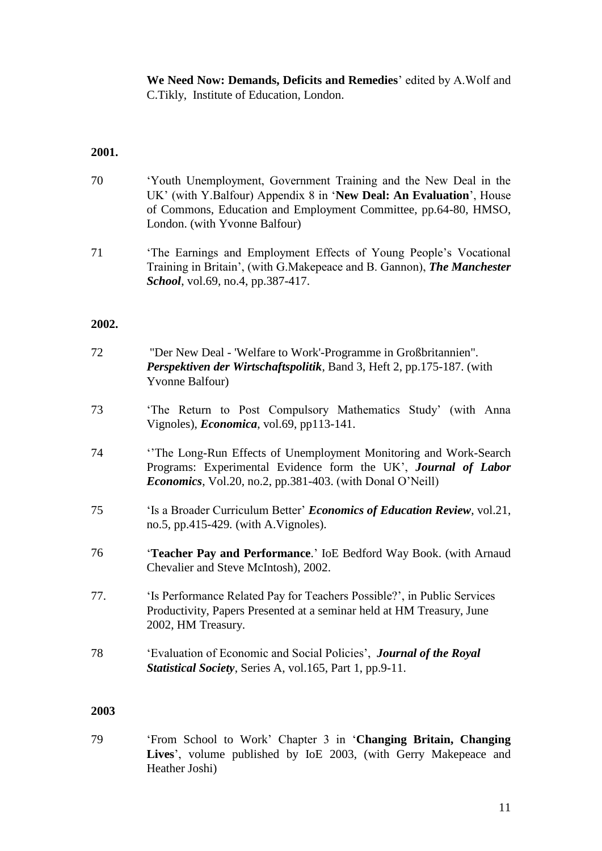**We Need Now: Demands, Deficits and Remedies**' edited by A.Wolf and C.Tikly, Institute of Education, London.

### **2001.**

- 70 'Youth Unemployment, Government Training and the New Deal in the UK' (with Y.Balfour) Appendix 8 in '**New Deal: An Evaluation**', House of Commons, Education and Employment Committee, pp.64-80, HMSO, London. (with Yvonne Balfour)
- 71 'The Earnings and Employment Effects of Young People's Vocational Training in Britain', (with G.Makepeace and B. Gannon), *The Manchester School*, vol.69, no.4, pp.387-417.

#### **2002.**

| 72  | "Der New Deal - 'Welfare to Work'-Programme in Großbritannien".<br>Perspektiven der Wirtschaftspolitik, Band 3, Heft 2, pp.175-187. (with<br>Yvonne Balfour)                                           |
|-----|--------------------------------------------------------------------------------------------------------------------------------------------------------------------------------------------------------|
| 73  | 'The Return to Post Compulsory Mathematics Study' (with Anna<br>Vignoles), <i>Economica</i> , vol.69, pp113-141.                                                                                       |
| 74  | The Long-Run Effects of Unemployment Monitoring and Work-Search<br>Programs: Experimental Evidence form the UK', Journal of Labor<br><i>Economics</i> , Vol.20, no.2, pp.381-403. (with Donal O'Neill) |
| 75  | 'Is a Broader Curriculum Better' <i>Economics of Education Review</i> , vol.21,<br>no.5, pp.415-429. (with A.Vignoles).                                                                                |
| 76  | 'Teacher Pay and Performance.' IoE Bedford Way Book. (with Arnaud<br>Chevalier and Steve McIntosh), 2002.                                                                                              |
| 77. | 'Is Performance Related Pay for Teachers Possible?', in Public Services<br>Productivity, Papers Presented at a seminar held at HM Treasury, June<br>2002, HM Treasury.                                 |
| 78  | 'Evaluation of Economic and Social Policies', Journal of the Royal<br><b>Statistical Society, Series A, vol.165, Part 1, pp.9-11.</b>                                                                  |

# **2003**

79 'From School to Work' Chapter 3 in '**Changing Britain, Changing Lives**', volume published by IoE 2003, (with Gerry Makepeace and Heather Joshi)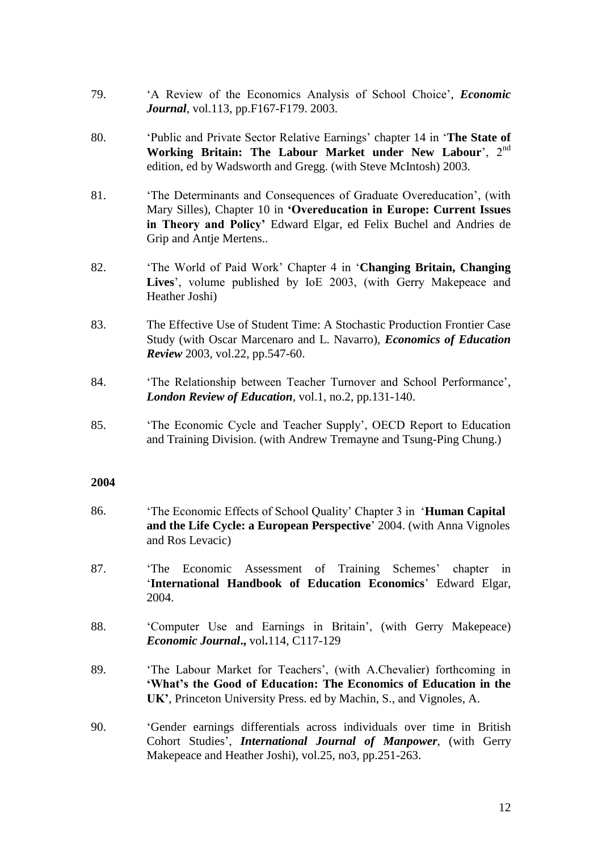- 79. 'A Review of the Economics Analysis of School Choice', *Economic Journal*, vol.113, pp.F167-F179. 2003.
- 80. 'Public and Private Sector Relative Earnings' chapter 14 in '**The State of**  Working Britain: The Labour Market under New Labour', 2<sup>nd</sup> edition, ed by Wadsworth and Gregg. (with Steve McIntosh) 2003.
- 81. 'The Determinants and Consequences of Graduate Overeducation', (with Mary Silles), Chapter 10 in **'Overeducation in Europe: Current Issues in Theory and Policy'** Edward Elgar, ed Felix Buchel and Andries de Grip and Antje Mertens..
- 82. 'The World of Paid Work' Chapter 4 in '**Changing Britain, Changing Lives**', volume published by IoE 2003, (with Gerry Makepeace and Heather Joshi)
- 83. The Effective Use of Student Time: A Stochastic Production Frontier Case Study (with Oscar Marcenaro and L. Navarro), *Economics of Education Review* 2003, vol.22, pp.547-60.
- 84. 'The Relationship between Teacher Turnover and School Performance', *London Review of Education*, vol.1, no.2, pp.131-140.
- 85. 'The Economic Cycle and Teacher Supply', OECD Report to Education and Training Division. (with Andrew Tremayne and Tsung-Ping Chung.)

- 86. 'The Economic Effects of School Quality' Chapter 3 in '**Human Capital and the Life Cycle: a European Perspective**' 2004. (with Anna Vignoles and Ros Levacic)
- 87. 'The Economic Assessment of Training Schemes' chapter in '**International Handbook of Education Economics**' Edward Elgar, 2004.
- 88. 'Computer Use and Earnings in Britain', (with Gerry Makepeace) *Economic Journal***.,** vol**.**114, C117-129
- 89. 'The Labour Market for Teachers', (with A.Chevalier) forthcoming in **'What's the Good of Education: The Economics of Education in the UK'**, Princeton University Press. ed by Machin, S., and Vignoles, A.
- 90. 'Gender earnings differentials across individuals over time in British Cohort Studies', *International Journal of Manpower*, (with Gerry Makepeace and Heather Joshi), vol.25, no3, pp.251-263.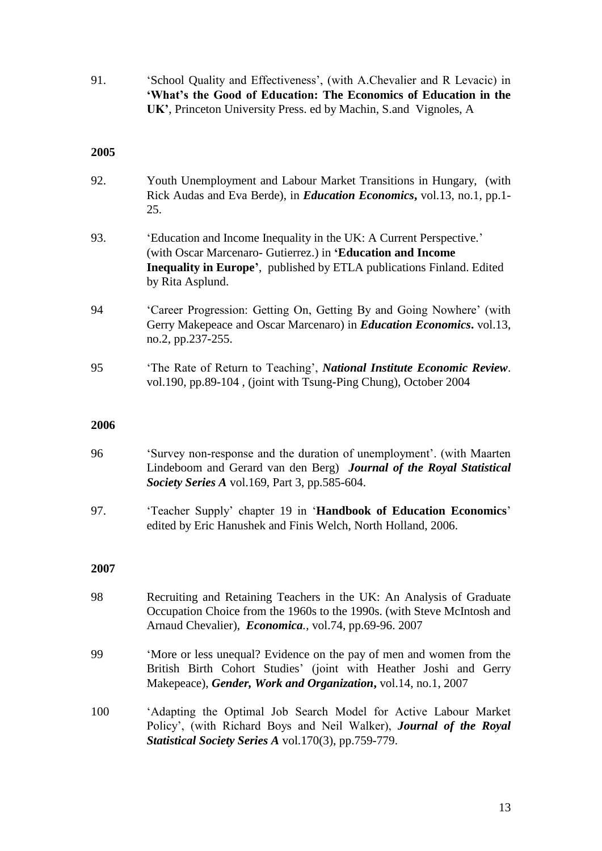91. 'School Quality and Effectiveness', (with A.Chevalier and R Levacic) in **'What's the Good of Education: The Economics of Education in the UK'**, Princeton University Press. ed by Machin, S.and Vignoles, A

#### **2005**

- 92. Youth Unemployment and Labour Market Transitions in Hungary, (with Rick Audas and Eva Berde), in *Education Economics***,** vol.13, no.1, pp.1- 25.
- 93. 'Education and Income Inequality in the UK: A Current Perspective.' (with Oscar Marcenaro- Gutierrez.) in **'Education and Income Inequality in Europe'**, published by ETLA publications Finland. Edited by Rita Asplund.
- 94 'Career Progression: Getting On, Getting By and Going Nowhere' (with Gerry Makepeace and Oscar Marcenaro) in *Education Economics***.** vol.13, no.2, pp.237-255.
- 95 'The Rate of Return to Teaching', *National Institute Economic Review*. vol.190, pp.89-104 , (joint with Tsung-Ping Chung), October 2004

#### **2006**

- 96 'Survey non-response and the duration of unemployment'. (with Maarten Lindeboom and Gerard van den Berg) *Journal of the Royal Statistical Society Series A* vol.169, Part 3, pp.585-604.
- 97. 'Teacher Supply' chapter 19 in '**Handbook of Education Economics**' edited by Eric Hanushek and Finis Welch, North Holland, 2006.

- 98 Recruiting and Retaining Teachers in the UK: An Analysis of Graduate Occupation Choice from the 1960s to the 1990s. (with Steve McIntosh and Arnaud Chevalier), *Economica.*, vol.74, pp.69-96. 2007
- 99 'More or less unequal? Evidence on the pay of men and women from the British Birth Cohort Studies' (joint with Heather Joshi and Gerry Makepeace), *Gender, Work and Organization***,** vol.14, no.1, 2007
- 100 'Adapting the Optimal Job Search Model for Active Labour Market Policy', (with Richard Boys and Neil Walker), *Journal of the Royal Statistical Society Series A* vol.170(3), pp.759-779.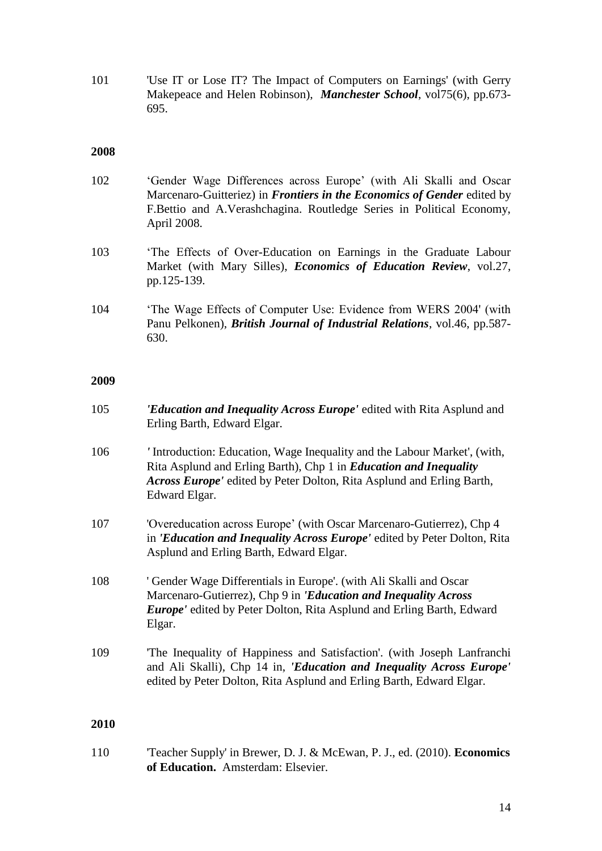101 'Use IT or Lose IT? The Impact of Computers on Earnings' (with Gerry Makepeace and Helen Robinson), *Manchester School*, vol75(6), pp.673- 695.

#### **2008**

- 102 'Gender Wage Differences across Europe' (with Ali Skalli and Oscar Marcenaro-Guitteriez) in *Frontiers in the Economics of Gender* edited by F.Bettio and A.Verashchagina. Routledge Series in Political Economy, April 2008.
- 103 'The Effects of Over-Education on Earnings in the Graduate Labour Market (with Mary Silles), *Economics of Education Review*, vol.27, pp.125-139.
- 104 'The Wage Effects of Computer Use: Evidence from WERS 2004' (with Panu Pelkonen), *British Journal of Industrial Relations*, vol.46, pp.587- 630.

#### **2009**

| 105  | <i>'Education and Inequality Across Europe'</i> edited with Rita Asplund and<br>Erling Barth, Edward Elgar.                                                                                                                                                                                                                                                     |
|------|-----------------------------------------------------------------------------------------------------------------------------------------------------------------------------------------------------------------------------------------------------------------------------------------------------------------------------------------------------------------|
| 106  | 'Introduction: Education, Wage Inequality and the Labour Market', (with,<br>Rita Asplund and Erling Barth), Chp 1 in <i>Education and Inequality</i><br>Across Europe' edited by Peter Dolton, Rita Asplund and Erling Barth,<br>Edward Elgar.                                                                                                                  |
| 107  | 'Overeducation across Europe' (with Oscar Marcenaro-Gutierrez), Chp 4<br>in <i>'Education and Inequality Across Europe'</i> edited by Peter Dolton, Rita<br>Asplund and Erling Barth, Edward Elgar.                                                                                                                                                             |
| 108  | ' Gender Wage Differentials in Europe'. (with Ali Skalli and Oscar<br>Marcenaro-Gutierrez), Chp 9 in 'Education and Inequality Across<br><b>Europe'</b> edited by Peter Dolton, Rita Asplund and Erling Barth, Edward<br>Elgar.                                                                                                                                 |
| 109  | 'The Inequality of Happiness and Satisfaction'. (with Joseph Lanfranchi<br>and Ali Skalli), Chp 14 in, 'Education and Inequality Across Europe'<br>edited by Peter Dolton, Rita Asplund and Erling Barth, Edward Elgar.                                                                                                                                         |
| 2010 |                                                                                                                                                                                                                                                                                                                                                                 |
|      | $\mathbf{r}$ $\mathbf{r}$ $\mathbf{r}$ $\mathbf{r}$ $\mathbf{r}$ $\mathbf{r}$ $\mathbf{r}$ $\mathbf{r}$ $\mathbf{r}$ $\mathbf{r}$ $\mathbf{r}$ $\mathbf{r}$ $\mathbf{r}$ $\mathbf{r}$ $\mathbf{r}$ $\mathbf{r}$ $\mathbf{r}$ $\mathbf{r}$ $\mathbf{r}$ $\mathbf{r}$ $\mathbf{r}$ $\mathbf{r}$ $\mathbf{r}$ $\mathbf{r}$ $\mathbf{$<br><b>DIOMP</b> DI<br>1/0.10 |

110 'Teacher Supply' in Brewer, D. J. & McEwan, P. J., ed. (2010). **Economics of Education.**Amsterdam: Elsevier.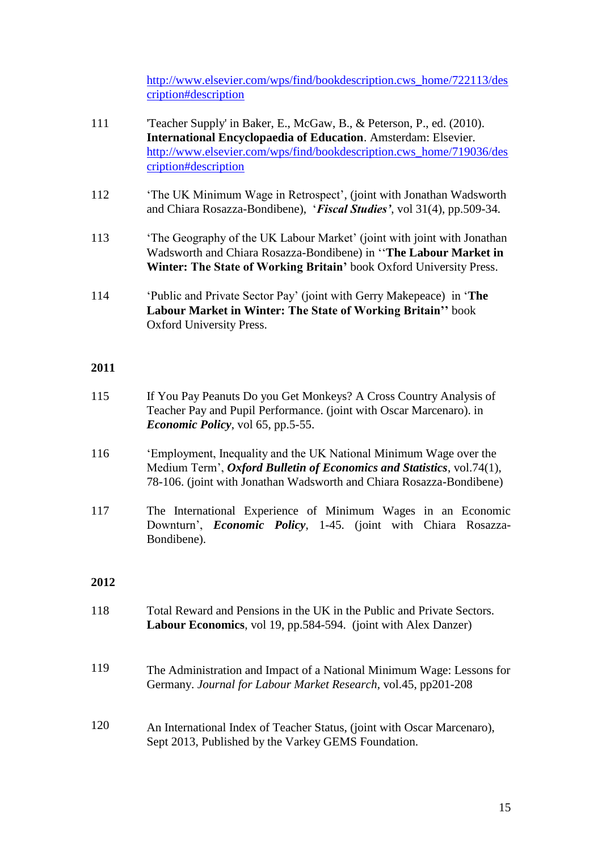[http://www.elsevier.com/wps/find/bookdescription.cws\\_home/722113/des](http://www.elsevier.com/wps/find/bookdescription.cws_home/722113/description#description) [cription#description](http://www.elsevier.com/wps/find/bookdescription.cws_home/722113/description#description)

- 111 'Teacher Supply' in Baker, E., McGaw, B., & Peterson, P., ed. (2010). **International Encyclopaedia of Education**. Amsterdam: Elsevier. [http://www.elsevier.com/wps/find/bookdescription.cws\\_home/719036/des](http://www.elsevier.com/wps/find/bookdescription.cws_home/719036/description#description) [cription#description](http://www.elsevier.com/wps/find/bookdescription.cws_home/719036/description#description)
- 112 'The UK Minimum Wage in Retrospect', (joint with Jonathan Wadsworth and Chiara Rosazza-Bondibene), '*Fiscal Studies'*, vol 31(4), pp.509-34.
- 113 'The Geography of the UK Labour Market' (joint with joint with Jonathan Wadsworth and Chiara Rosazza-Bondibene) in ''**The Labour Market in Winter: The State of Working Britain'** book Oxford University Press.
- 114 'Public and Private Sector Pay' (joint with Gerry Makepeace) in '**The Labour Market in Winter: The State of Working Britain''** book Oxford University Press.

### **2011**

- 115 If You Pay Peanuts Do you Get Monkeys? A Cross Country Analysis of Teacher Pay and Pupil Performance. (joint with Oscar Marcenaro). in *Economic Policy*, vol 65, pp.5-55.
- 116 'Employment, Inequality and the UK National Minimum Wage over the Medium Term', *Oxford Bulletin of Economics and Statistics*, vol.74(1), 78-106. (joint with Jonathan Wadsworth and Chiara Rosazza-Bondibene)
- 117 The International Experience of Minimum Wages in an Economic Downturn', *Economic Policy*, 1-45. (joint with Chiara Rosazza-Bondibene).

- 118 Total Reward and Pensions in the UK in the Public and Private Sectors. **Labour Economics**, vol 19, pp.584-594. (joint with Alex Danzer)
- 119 The Administration and Impact of a National Minimum Wage: Lessons for Germany. *Journal for Labour Market Research*, vol.45, pp201-208
- 120 An International Index of Teacher Status, (joint with Oscar Marcenaro), Sept 2013, Published by the Varkey GEMS Foundation.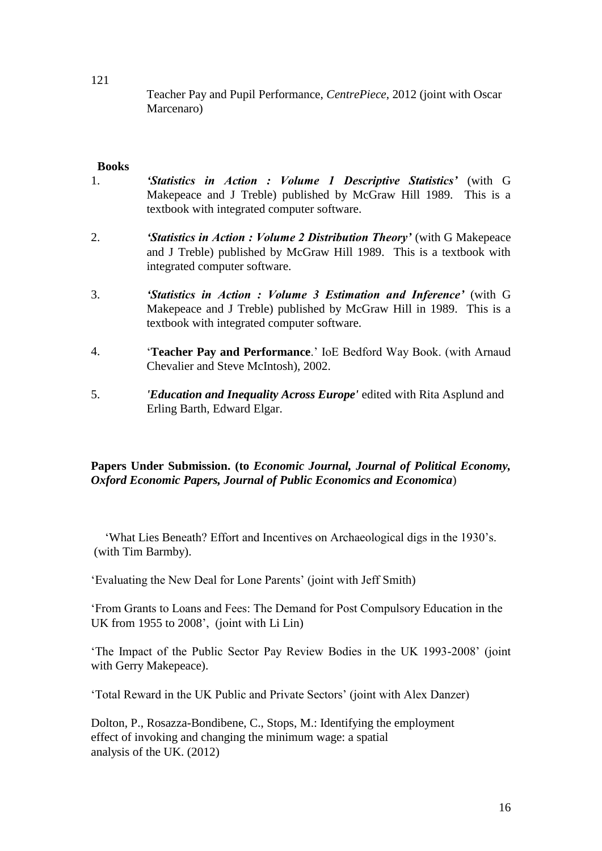Teacher Pay and Pupil Performance, *CentrePiece*, 2012 (joint with Oscar Marcenaro)

#### **Books**

- 1. *'Statistics in Action : Volume 1 Descriptive Statistics'* (with G Makepeace and J Treble) published by McGraw Hill 1989. This is a textbook with integrated computer software.
- 2. *'Statistics in Action : Volume 2 Distribution Theory'* (with G Makepeace and J Treble) published by McGraw Hill 1989. This is a textbook with integrated computer software.
- 3. *'Statistics in Action : Volume 3 Estimation and Inference'* (with G Makepeace and J Treble) published by McGraw Hill in 1989. This is a textbook with integrated computer software.
- 4. '**Teacher Pay and Performance**.' IoE Bedford Way Book. (with Arnaud Chevalier and Steve McIntosh), 2002.
- 5. *'Education and Inequality Across Europe'* edited with Rita Asplund and Erling Barth, Edward Elgar.

### **Papers Under Submission. (to** *Economic Journal, Journal of Political Economy, Oxford Economic Papers, Journal of Public Economics and Economica*)

'What Lies Beneath? Effort and Incentives on Archaeological digs in the 1930's. (with Tim Barmby).

'Evaluating the New Deal for Lone Parents' (joint with Jeff Smith)

'From Grants to Loans and Fees: The Demand for Post Compulsory Education in the UK from 1955 to 2008', (joint with Li Lin)

'The Impact of the Public Sector Pay Review Bodies in the UK 1993-2008' (joint with Gerry Makepeace).

'Total Reward in the UK Public and Private Sectors' (joint with Alex Danzer)

Dolton, P., Rosazza-Bondibene, C., Stops, M.: Identifying the employment effect of invoking and changing the minimum wage: a spatial analysis of the UK. (2012)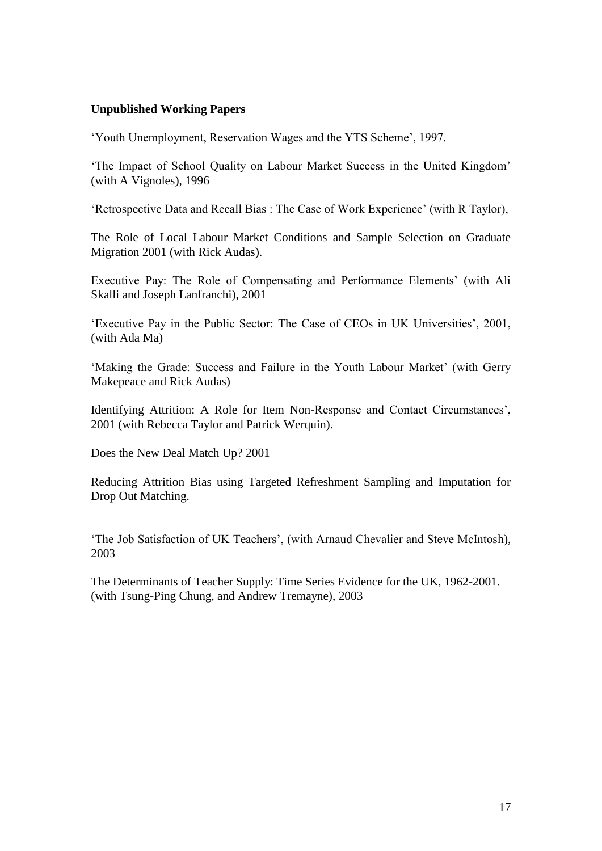### **Unpublished Working Papers**

'Youth Unemployment, Reservation Wages and the YTS Scheme', 1997.

'The Impact of School Quality on Labour Market Success in the United Kingdom' (with A Vignoles), 1996

'Retrospective Data and Recall Bias : The Case of Work Experience' (with R Taylor),

The Role of Local Labour Market Conditions and Sample Selection on Graduate Migration 2001 (with Rick Audas).

Executive Pay: The Role of Compensating and Performance Elements' (with Ali Skalli and Joseph Lanfranchi), 2001

'Executive Pay in the Public Sector: The Case of CEOs in UK Universities', 2001, (with Ada Ma)

'Making the Grade: Success and Failure in the Youth Labour Market' (with Gerry Makepeace and Rick Audas)

Identifying Attrition: A Role for Item Non-Response and Contact Circumstances', 2001 (with Rebecca Taylor and Patrick Werquin).

Does the New Deal Match Up? 2001

Reducing Attrition Bias using Targeted Refreshment Sampling and Imputation for Drop Out Matching.

'The Job Satisfaction of UK Teachers', (with Arnaud Chevalier and Steve McIntosh), 2003

The Determinants of Teacher Supply: Time Series Evidence for the UK, 1962-2001. (with Tsung-Ping Chung, and Andrew Tremayne), 2003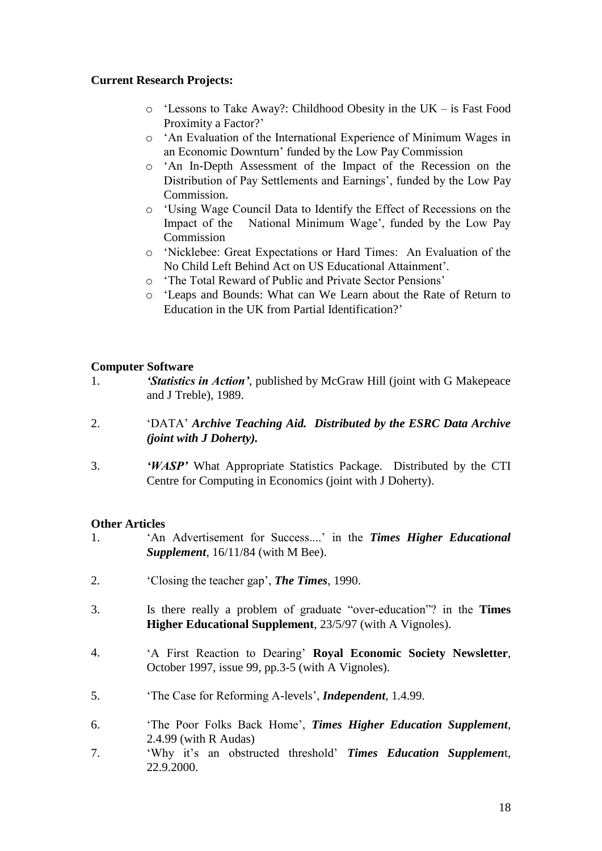# **Current Research Projects:**

- o 'Lessons to Take Away?: Childhood Obesity in the UK is Fast Food Proximity a Factor?'
- o 'An Evaluation of the International Experience of Minimum Wages in an Economic Downturn' funded by the Low Pay Commission
- o 'An In-Depth Assessment of the Impact of the Recession on the Distribution of Pay Settlements and Earnings', funded by the Low Pay Commission.
- o 'Using Wage Council Data to Identify the Effect of Recessions on the Impact of the National Minimum Wage', funded by the Low Pay Commission
- o 'Nicklebee: Great Expectations or Hard Times: An Evaluation of the No Child Left Behind Act on US Educational Attainment'.
- o 'The Total Reward of Public and Private Sector Pensions'
- o 'Leaps and Bounds: What can We Learn about the Rate of Return to Education in the UK from Partial Identification?'

### **Computer Software**

- 1. *'Statistics in Action'*, published by McGraw Hill (joint with G Makepeace and J Treble), 1989.
- 2. 'DATA' *Archive Teaching Aid. Distributed by the ESRC Data Archive (joint with J Doherty).*
- 3. *'WASP'* What Appropriate Statistics Package. Distributed by the CTI Centre for Computing in Economics (joint with J Doherty).

### **Other Articles**

- 1. 'An Advertisement for Success....' in the *Times Higher Educational Supplement*, 16/11/84 (with M Bee).
- 2. 'Closing the teacher gap', *The Times*, 1990.
- 3. Is there really a problem of graduate "over-education"? in the **Times Higher Educational Supplement**, 23/5/97 (with A Vignoles).
- 4. 'A First Reaction to Dearing' **Royal Economic Society Newsletter**, October 1997, issue 99, pp.3-5 (with A Vignoles).
- 5. 'The Case for Reforming A-levels', *Independent*, 1.4.99.
- 6. 'The Poor Folks Back Home', *Times Higher Education Supplement*, 2.4.99 (with R Audas)
- 7. 'Why it's an obstructed threshold' *Times Education Supplemen*t, 22.9.2000.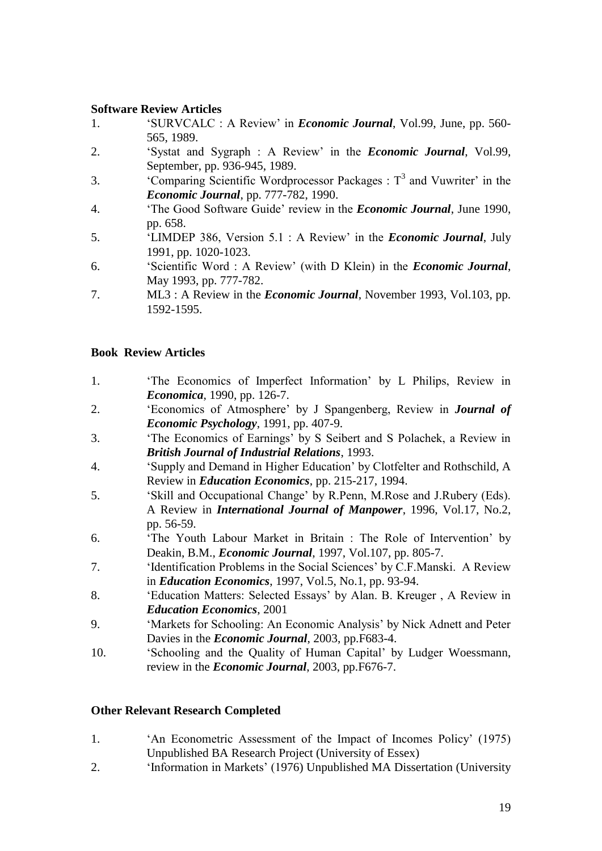### **Software Review Articles**

- 1. 'SURVCALC : A Review' in *Economic Journal*, Vol.99, June, pp. 560- 565, 1989.
- 2. 'Systat and Sygraph : A Review' in the *Economic Journal*, Vol.99, September, pp. 936-945, 1989.
- 3. 'Comparing Scientific Wordprocessor Packages :  $T<sup>3</sup>$  and Vuwriter' in the *Economic Journal*, pp. 777-782, 1990.
- 4. 'The Good Software Guide' review in the *Economic Journal*, June 1990, pp. 658.
- 5. 'LIMDEP 386, Version 5.1 : A Review' in the *Economic Journal*, July 1991, pp. 1020-1023.
- 6. 'Scientific Word : A Review' (with D Klein) in the *Economic Journal*, May 1993, pp. 777-782.
- 7. ML3 : A Review in the *Economic Journal*, November 1993, Vol.103, pp. 1592-1595.

### **Book Review Articles**

- 1. 'The Economics of Imperfect Information' by L Philips, Review in *Economica*, 1990, pp. 126-7.
- 2. 'Economics of Atmosphere' by J Spangenberg, Review in *Journal of Economic Psychology*, 1991, pp. 407-9.
- 3. 'The Economics of Earnings' by S Seibert and S Polachek, a Review in *British Journal of Industrial Relations*, 1993.
- 4. 'Supply and Demand in Higher Education' by Clotfelter and Rothschild, A Review in *Education Economics*, pp. 215-217, 1994.
- 5. 'Skill and Occupational Change' by R.Penn, M.Rose and J.Rubery (Eds). A Review in *International Journal of Manpower*, 1996, Vol.17, No.2, pp. 56-59.
- 6. 'The Youth Labour Market in Britain : The Role of Intervention' by Deakin, B.M., *Economic Journal*, 1997, Vol.107, pp. 805-7.
- 7. 'Identification Problems in the Social Sciences' by C.F.Manski. A Review in *Education Economics*, 1997, Vol.5, No.1, pp. 93-94.
- 8. 'Education Matters: Selected Essays' by Alan. B. Kreuger , A Review in *Education Economics*, 2001
- 9. 'Markets for Schooling: An Economic Analysis' by Nick Adnett and Peter Davies in the *Economic Journal*, 2003, pp.F683-4.
- 10. 'Schooling and the Quality of Human Capital' by Ludger Woessmann, review in the *Economic Journal*, 2003, pp.F676-7.

#### **Other Relevant Research Completed**

- 1. 'An Econometric Assessment of the Impact of Incomes Policy' (1975) Unpublished BA Research Project (University of Essex)
- 2. 'Information in Markets' (1976) Unpublished MA Dissertation (University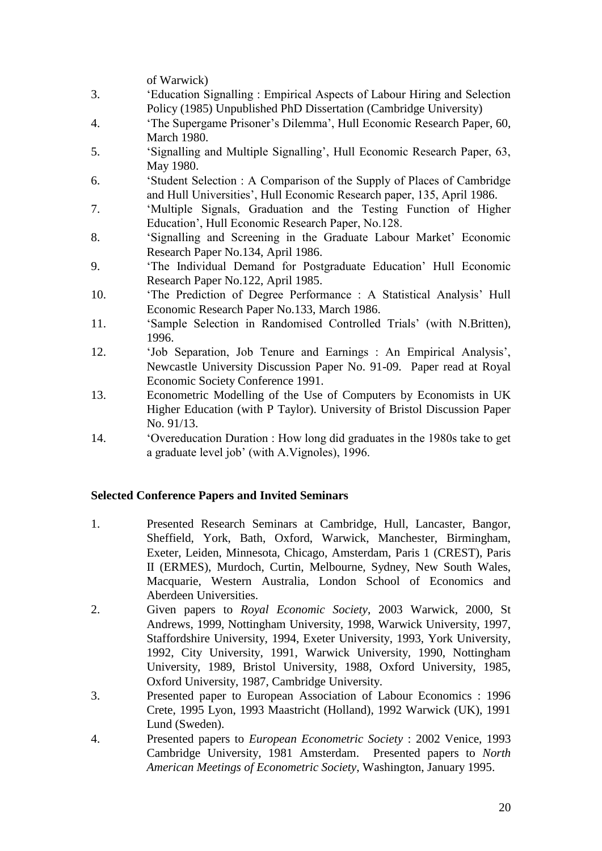of Warwick)

- 3. 'Education Signalling : Empirical Aspects of Labour Hiring and Selection Policy (1985) Unpublished PhD Dissertation (Cambridge University)
- 4. 'The Supergame Prisoner's Dilemma', Hull Economic Research Paper, 60, March 1980.
- 5. 'Signalling and Multiple Signalling', Hull Economic Research Paper, 63, May 1980.
- 6. 'Student Selection : A Comparison of the Supply of Places of Cambridge and Hull Universities', Hull Economic Research paper, 135, April 1986.
- 7. 'Multiple Signals, Graduation and the Testing Function of Higher Education', Hull Economic Research Paper, No.128.
- 8. 'Signalling and Screening in the Graduate Labour Market' Economic Research Paper No.134, April 1986.
- 9. 'The Individual Demand for Postgraduate Education' Hull Economic Research Paper No.122, April 1985.
- 10. 'The Prediction of Degree Performance : A Statistical Analysis' Hull Economic Research Paper No.133, March 1986.
- 11. 'Sample Selection in Randomised Controlled Trials' (with N.Britten), 1996.
- 12. 'Job Separation, Job Tenure and Earnings : An Empirical Analysis', Newcastle University Discussion Paper No. 91-09. Paper read at Royal Economic Society Conference 1991.
- 13. Econometric Modelling of the Use of Computers by Economists in UK Higher Education (with P Taylor). University of Bristol Discussion Paper No. 91/13.
- 14. 'Overeducation Duration : How long did graduates in the 1980s take to get a graduate level job' (with A.Vignoles), 1996.

# **Selected Conference Papers and Invited Seminars**

- 1. Presented Research Seminars at Cambridge, Hull, Lancaster, Bangor, Sheffield, York, Bath, Oxford, Warwick, Manchester, Birmingham, Exeter, Leiden, Minnesota, Chicago, Amsterdam, Paris 1 (CREST), Paris II (ERMES), Murdoch, Curtin, Melbourne, Sydney, New South Wales, Macquarie, Western Australia, London School of Economics and Aberdeen Universities.
- 2. Given papers to *Royal Economic Society*, 2003 Warwick, 2000, St Andrews, 1999, Nottingham University, 1998, Warwick University, 1997, Staffordshire University, 1994, Exeter University, 1993, York University, 1992, City University, 1991, Warwick University, 1990, Nottingham University, 1989, Bristol University, 1988, Oxford University, 1985, Oxford University, 1987, Cambridge University.
- 3. Presented paper to European Association of Labour Economics : 1996 Crete, 1995 Lyon, 1993 Maastricht (Holland), 1992 Warwick (UK), 1991 Lund (Sweden).
- 4. Presented papers to *European Econometric Society* : 2002 Venice, 1993 Cambridge University, 1981 Amsterdam. Presented papers to *North American Meetings of Econometric Society*, Washington, January 1995.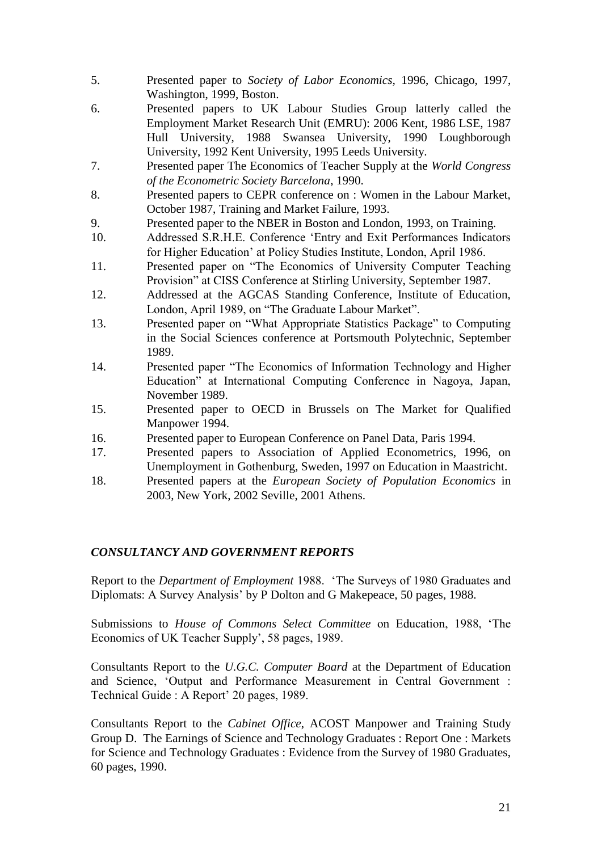- 5. Presented paper to *Society of Labor Economics,* 1996, Chicago, 1997, Washington, 1999, Boston.
- 6. Presented papers to UK Labour Studies Group latterly called the Employment Market Research Unit (EMRU): 2006 Kent, 1986 LSE, 1987 Hull University, 1988 Swansea University, 1990 Loughborough University, 1992 Kent University, 1995 Leeds University.
- 7. Presented paper The Economics of Teacher Supply at the *World Congress of the Econometric Society Barcelona*, 1990.
- 8. Presented papers to CEPR conference on : Women in the Labour Market, October 1987, Training and Market Failure, 1993.
- 9. Presented paper to the NBER in Boston and London, 1993, on Training.
- 10. Addressed S.R.H.E. Conference 'Entry and Exit Performances Indicators for Higher Education' at Policy Studies Institute, London, April 1986.
- 11. Presented paper on "The Economics of University Computer Teaching Provision" at CISS Conference at Stirling University, September 1987.
- 12. Addressed at the AGCAS Standing Conference, Institute of Education, London, April 1989, on "The Graduate Labour Market".
- 13. Presented paper on "What Appropriate Statistics Package" to Computing in the Social Sciences conference at Portsmouth Polytechnic, September 1989.
- 14. Presented paper "The Economics of Information Technology and Higher Education" at International Computing Conference in Nagoya, Japan, November 1989.
- 15. Presented paper to OECD in Brussels on The Market for Qualified Manpower 1994.
- 16. Presented paper to European Conference on Panel Data, Paris 1994.
- 17. Presented papers to Association of Applied Econometrics, 1996, on Unemployment in Gothenburg, Sweden, 1997 on Education in Maastricht.
- 18. Presented papers at the *European Society of Population Economics* in 2003, New York, 2002 Seville, 2001 Athens.

### *CONSULTANCY AND GOVERNMENT REPORTS*

Report to the *Department of Employment* 1988. 'The Surveys of 1980 Graduates and Diplomats: A Survey Analysis' by P Dolton and G Makepeace, 50 pages, 1988.

Submissions to *House of Commons Select Committee* on Education, 1988, 'The Economics of UK Teacher Supply', 58 pages, 1989.

Consultants Report to the *U.G.C. Computer Board* at the Department of Education and Science, 'Output and Performance Measurement in Central Government : Technical Guide : A Report' 20 pages, 1989.

Consultants Report to the *Cabinet Office*, ACOST Manpower and Training Study Group D. The Earnings of Science and Technology Graduates : Report One : Markets for Science and Technology Graduates : Evidence from the Survey of 1980 Graduates, 60 pages, 1990.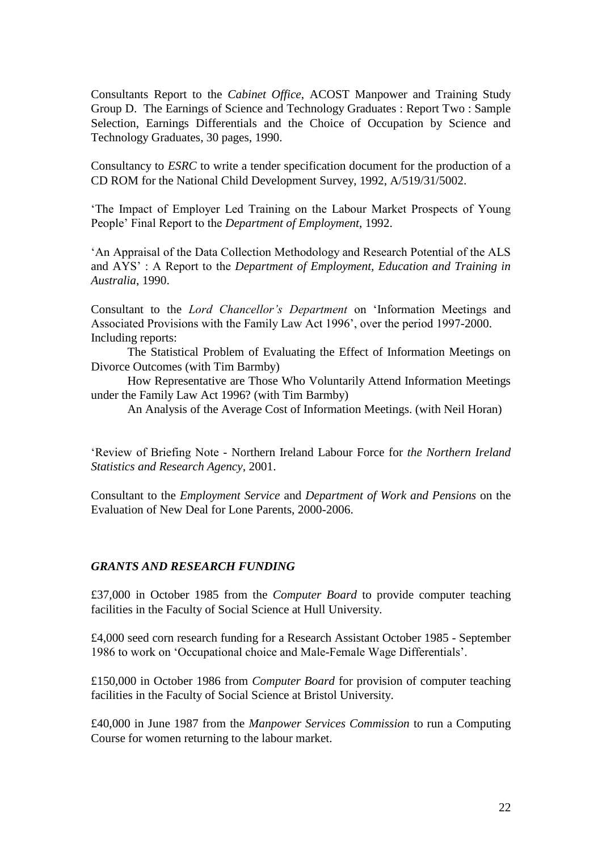Consultants Report to the *Cabinet Office*, ACOST Manpower and Training Study Group D. The Earnings of Science and Technology Graduates : Report Two : Sample Selection, Earnings Differentials and the Choice of Occupation by Science and Technology Graduates, 30 pages, 1990.

Consultancy to *ESRC* to write a tender specification document for the production of a CD ROM for the National Child Development Survey, 1992, A/519/31/5002.

'The Impact of Employer Led Training on the Labour Market Prospects of Young People' Final Report to the *Department of Employment*, 1992.

'An Appraisal of the Data Collection Methodology and Research Potential of the ALS and AYS' : A Report to the *Department of Employment, Education and Training in Australia*, 1990.

Consultant to the *Lord Chancellor's Department* on 'Information Meetings and Associated Provisions with the Family Law Act 1996', over the period 1997-2000. Including reports:

The Statistical Problem of Evaluating the Effect of Information Meetings on Divorce Outcomes (with Tim Barmby)

How Representative are Those Who Voluntarily Attend Information Meetings under the Family Law Act 1996? (with Tim Barmby)

An Analysis of the Average Cost of Information Meetings. (with Neil Horan)

'Review of Briefing Note - Northern Ireland Labour Force for *the Northern Ireland Statistics and Research Agency*, 2001.

Consultant to the *Employment Service* and *Department of Work and Pensions* on the Evaluation of New Deal for Lone Parents, 2000-2006.

#### *GRANTS AND RESEARCH FUNDING*

£37,000 in October 1985 from the *Computer Board* to provide computer teaching facilities in the Faculty of Social Science at Hull University.

£4,000 seed corn research funding for a Research Assistant October 1985 - September 1986 to work on 'Occupational choice and Male-Female Wage Differentials'.

£150,000 in October 1986 from *Computer Board* for provision of computer teaching facilities in the Faculty of Social Science at Bristol University.

£40,000 in June 1987 from the *Manpower Services Commission* to run a Computing Course for women returning to the labour market.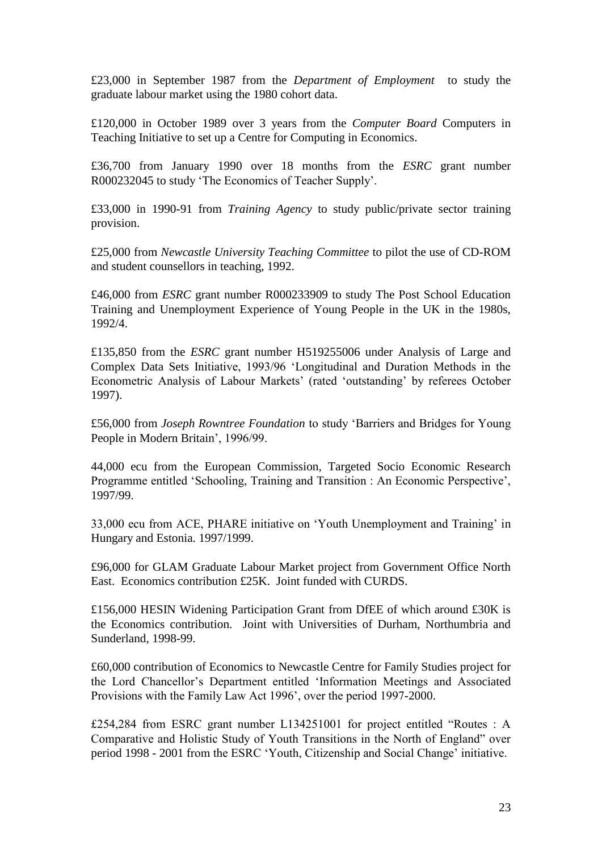£23,000 in September 1987 from the *Department of Employment* to study the graduate labour market using the 1980 cohort data.

£120,000 in October 1989 over 3 years from the *Computer Board* Computers in Teaching Initiative to set up a Centre for Computing in Economics.

£36,700 from January 1990 over 18 months from the *ESRC* grant number R000232045 to study 'The Economics of Teacher Supply'.

£33,000 in 1990-91 from *Training Agency* to study public/private sector training provision.

£25,000 from *Newcastle University Teaching Committee* to pilot the use of CD-ROM and student counsellors in teaching, 1992.

£46,000 from *ESRC* grant number R000233909 to study The Post School Education Training and Unemployment Experience of Young People in the UK in the 1980s, 1992/4.

£135,850 from the *ESRC* grant number H519255006 under Analysis of Large and Complex Data Sets Initiative, 1993/96 'Longitudinal and Duration Methods in the Econometric Analysis of Labour Markets' (rated 'outstanding' by referees October 1997).

£56,000 from *Joseph Rowntree Foundation* to study 'Barriers and Bridges for Young People in Modern Britain', 1996/99.

44,000 ecu from the European Commission, Targeted Socio Economic Research Programme entitled 'Schooling, Training and Transition : An Economic Perspective', 1997/99.

33,000 ecu from ACE, PHARE initiative on 'Youth Unemployment and Training' in Hungary and Estonia. 1997/1999.

£96,000 for GLAM Graduate Labour Market project from Government Office North East. Economics contribution £25K. Joint funded with CURDS.

£156,000 HESIN Widening Participation Grant from DfEE of which around £30K is the Economics contribution. Joint with Universities of Durham, Northumbria and Sunderland, 1998-99.

£60,000 contribution of Economics to Newcastle Centre for Family Studies project for the Lord Chancellor's Department entitled 'Information Meetings and Associated Provisions with the Family Law Act 1996', over the period 1997-2000.

£254,284 from ESRC grant number L134251001 for project entitled "Routes : A Comparative and Holistic Study of Youth Transitions in the North of England" over period 1998 - 2001 from the ESRC 'Youth, Citizenship and Social Change' initiative.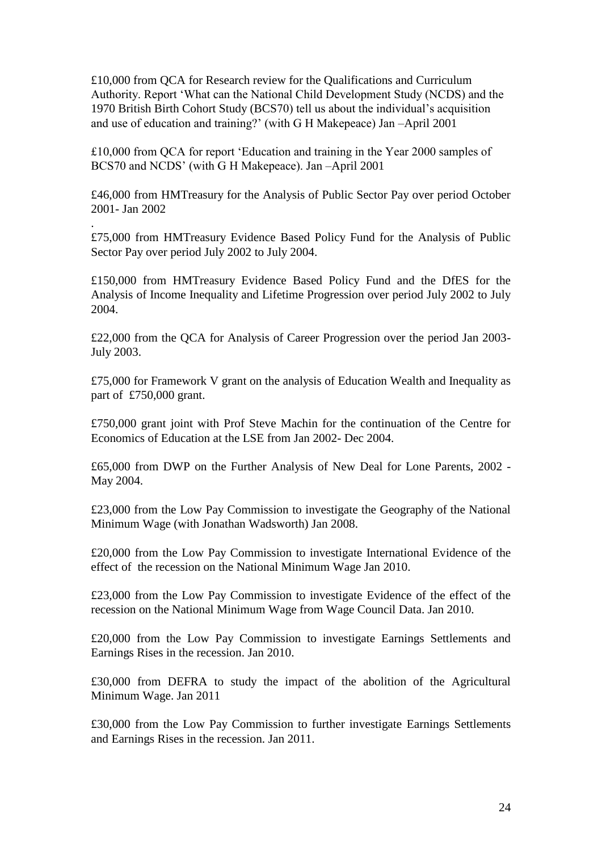£10,000 from QCA for Research review for the Qualifications and Curriculum Authority. Report 'What can the National Child Development Study (NCDS) and the 1970 British Birth Cohort Study (BCS70) tell us about the individual's acquisition and use of education and training?' (with G H Makepeace) Jan –April 2001

£10,000 from QCA for report 'Education and training in the Year 2000 samples of BCS70 and NCDS' (with G H Makepeace). Jan –April 2001

£46,000 from HMTreasury for the Analysis of Public Sector Pay over period October 2001- Jan 2002

£75,000 from HMTreasury Evidence Based Policy Fund for the Analysis of Public Sector Pay over period July 2002 to July 2004.

.

£150,000 from HMTreasury Evidence Based Policy Fund and the DfES for the Analysis of Income Inequality and Lifetime Progression over period July 2002 to July 2004.

£22,000 from the QCA for Analysis of Career Progression over the period Jan 2003- July 2003.

£75,000 for Framework V grant on the analysis of Education Wealth and Inequality as part of £750,000 grant.

£750,000 grant joint with Prof Steve Machin for the continuation of the Centre for Economics of Education at the LSE from Jan 2002- Dec 2004.

£65,000 from DWP on the Further Analysis of New Deal for Lone Parents, 2002 - May 2004.

£23,000 from the Low Pay Commission to investigate the Geography of the National Minimum Wage (with Jonathan Wadsworth) Jan 2008.

£20,000 from the Low Pay Commission to investigate International Evidence of the effect of the recession on the National Minimum Wage Jan 2010.

£23,000 from the Low Pay Commission to investigate Evidence of the effect of the recession on the National Minimum Wage from Wage Council Data. Jan 2010.

£20,000 from the Low Pay Commission to investigate Earnings Settlements and Earnings Rises in the recession. Jan 2010.

£30,000 from DEFRA to study the impact of the abolition of the Agricultural Minimum Wage. Jan 2011

£30,000 from the Low Pay Commission to further investigate Earnings Settlements and Earnings Rises in the recession. Jan 2011.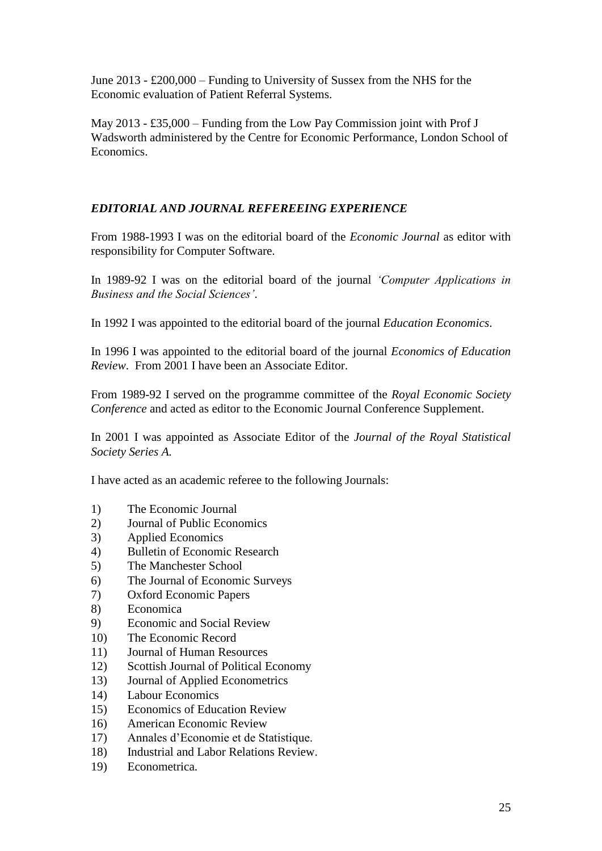June 2013 - £200,000 – Funding to University of Sussex from the NHS for the Economic evaluation of Patient Referral Systems.

May 2013 - £35,000 – Funding from the Low Pay Commission joint with Prof J Wadsworth administered by the Centre for Economic Performance, London School of Economics.

# *EDITORIAL AND JOURNAL REFEREEING EXPERIENCE*

From 1988-1993 I was on the editorial board of the *Economic Journal* as editor with responsibility for Computer Software.

In 1989-92 I was on the editorial board of the journal *'Computer Applications in Business and the Social Sciences'*.

In 1992 I was appointed to the editorial board of the journal *Education Economics*.

In 1996 I was appointed to the editorial board of the journal *Economics of Education Review*. From 2001 I have been an Associate Editor.

From 1989-92 I served on the programme committee of the *Royal Economic Society Conference* and acted as editor to the Economic Journal Conference Supplement.

In 2001 I was appointed as Associate Editor of the *Journal of the Royal Statistical Society Series A.*

I have acted as an academic referee to the following Journals:

- 1) The Economic Journal
- 2) Journal of Public Economics
- 3) Applied Economics
- 4) Bulletin of Economic Research
- 5) The Manchester School
- 6) The Journal of Economic Surveys
- 7) Oxford Economic Papers
- 8) Economica
- 9) Economic and Social Review
- 10) The Economic Record
- 11) Journal of Human Resources
- 12) Scottish Journal of Political Economy
- 13) Journal of Applied Econometrics
- 14) Labour Economics
- 15) Economics of Education Review
- 16) American Economic Review
- 17) Annales d'Economie et de Statistique.
- 18) Industrial and Labor Relations Review.
- 19) Econometrica.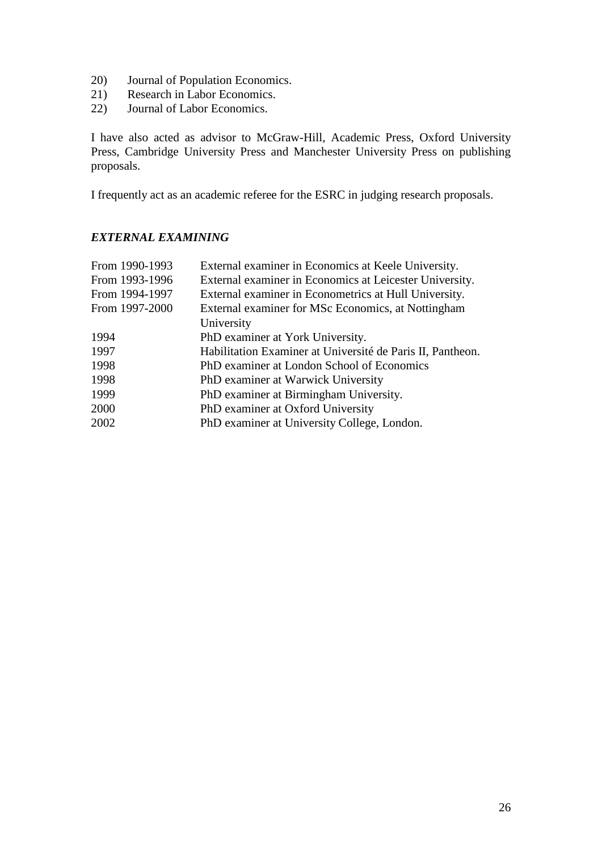- 20) Journal of Population Economics.
- 21) Research in Labor Economics.
- 22) Journal of Labor Economics.

I have also acted as advisor to McGraw-Hill, Academic Press, Oxford University Press, Cambridge University Press and Manchester University Press on publishing proposals.

I frequently act as an academic referee for the ESRC in judging research proposals.

# *EXTERNAL EXAMINING*

| From 1990-1993 | External examiner in Economics at Keele University.        |
|----------------|------------------------------------------------------------|
| From 1993-1996 | External examiner in Economics at Leicester University.    |
| From 1994-1997 | External examiner in Econometrics at Hull University.      |
| From 1997-2000 | External examiner for MSc Economics, at Nottingham         |
|                | University                                                 |
| 1994           | PhD examiner at York University.                           |
| 1997           | Habilitation Examiner at Université de Paris II, Pantheon. |
| 1998           | PhD examiner at London School of Economics                 |
| 1998           | PhD examiner at Warwick University                         |
| 1999           | PhD examiner at Birmingham University.                     |
| 2000           | PhD examiner at Oxford University                          |
| 2002           | PhD examiner at University College, London.                |
|                |                                                            |